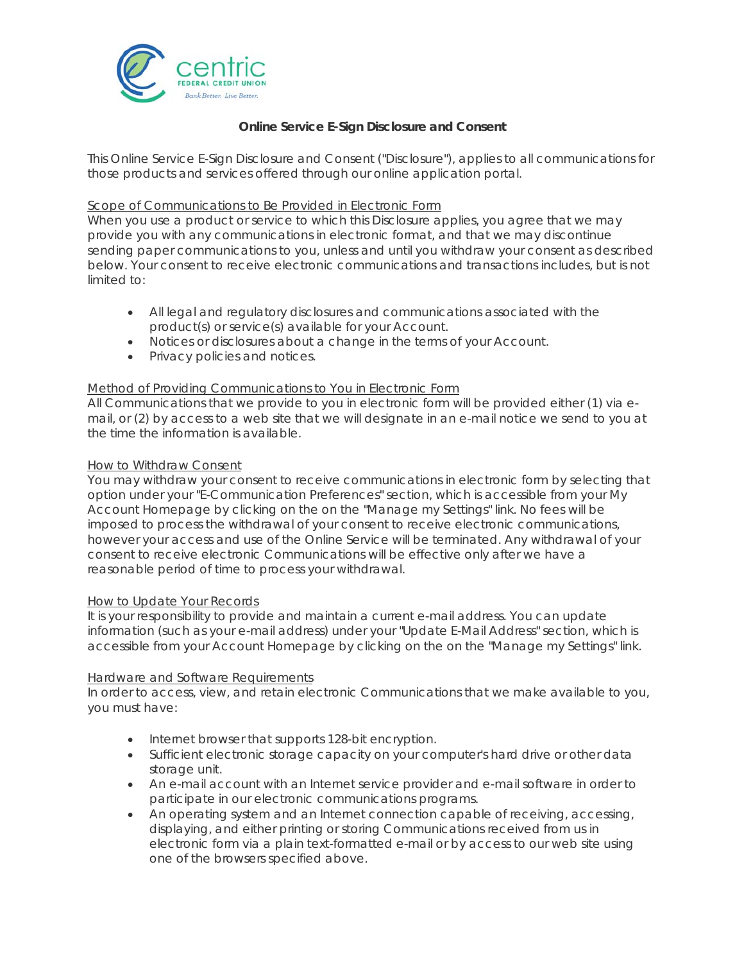

# **Online Service E-Sign Disclosure and Consent**

This Online Service E-Sign Disclosure and Consent ("Disclosure"), applies to all communications for those products and services offered through our online application portal.

## Scope of Communications to Be Provided in Electronic Form

When you use a product or service to which this Disclosure applies, you agree that we may provide you with any communications in electronic format, and that we may discontinue sending paper communications to you, unless and until you withdraw your consent as described below. Your consent to receive electronic communications and transactions includes, but is not limited to:

- All legal and regulatory disclosures and communications associated with the product(s) or service(s) available for your Account.
- Notices or disclosures about a change in the terms of your Account.
- Privacy policies and notices.

## Method of Providing Communications to You in Electronic Form

All Communications that we provide to you in electronic form will be provided either (1) via email, or (2) by access to a web site that we will designate in an e-mail notice we send to you at the time the information is available.

## How to Withdraw Consent

You may withdraw your consent to receive communications in electronic form by selecting that option under your "E-Communication Preferences" section, which is accessible from your My Account Homepage by clicking on the on the "Manage my Settings" link. No fees will be imposed to process the withdrawal of your consent to receive electronic communications, however your access and use of the Online Service will be terminated. Any withdrawal of your consent to receive electronic Communications will be effective only after we have a reasonable period of time to process your withdrawal.

## How to Update Your Records

It is your responsibility to provide and maintain a current e-mail address. You can update information (such as your e-mail address) under your "Update E-Mail Address" section, which is accessible from your Account Homepage by clicking on the on the "Manage my Settings" link.

## Hardware and Software Requirements

In order to access, view, and retain electronic Communications that we make available to you, you must have:

- Internet browser that supports 128-bit encryption.
- Sufficient electronic storage capacity on your computer's hard drive or other data storage unit.
- An e-mail account with an Internet service provider and e-mail software in order to participate in our electronic communications programs.
- An operating system and an Internet connection capable of receiving, accessing, displaying, and either printing or storing Communications received from us in electronic form via a plain text-formatted e-mail or by access to our web site using one of the browsers specified above.